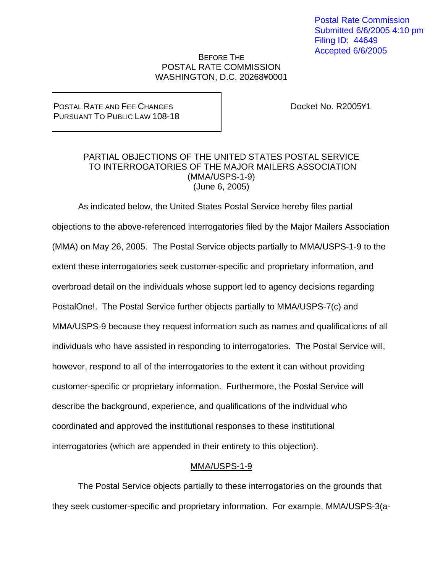Postal Rate Commission Submitted 6/6/2005 4:10 pm Filing ID: 44649 Accepted 6/6/2005

## BEFORE THE POSTAL RATE COMMISSION WASHINGTON, D.C. 20268¥0001

POSTAL RATE AND FEE CHANGES PURSUANT TO PUBLIC LAW 108-18 Docket No. R2005¥1

## PARTIAL OBJECTIONS OF THE UNITED STATES POSTAL SERVICE TO INTERROGATORIES OF THE MAJOR MAILERS ASSOCIATION (MMA/USPS-1-9) (June 6, 2005)

 As indicated below, the United States Postal Service hereby files partial objections to the above-referenced interrogatories filed by the Major Mailers Association (MMA) on May 26, 2005. The Postal Service objects partially to MMA/USPS-1-9 to the extent these interrogatories seek customer-specific and proprietary information, and overbroad detail on the individuals whose support led to agency decisions regarding PostalOne!. The Postal Service further objects partially to MMA/USPS-7(c) and MMA/USPS-9 because they request information such as names and qualifications of all individuals who have assisted in responding to interrogatories. The Postal Service will, however, respond to all of the interrogatories to the extent it can without providing customer-specific or proprietary information. Furthermore, the Postal Service will describe the background, experience, and qualifications of the individual who coordinated and approved the institutional responses to these institutional interrogatories (which are appended in their entirety to this objection).

## MMA/USPS-1-9

 The Postal Service objects partially to these interrogatories on the grounds that they seek customer-specific and proprietary information. For example, MMA/USPS-3(a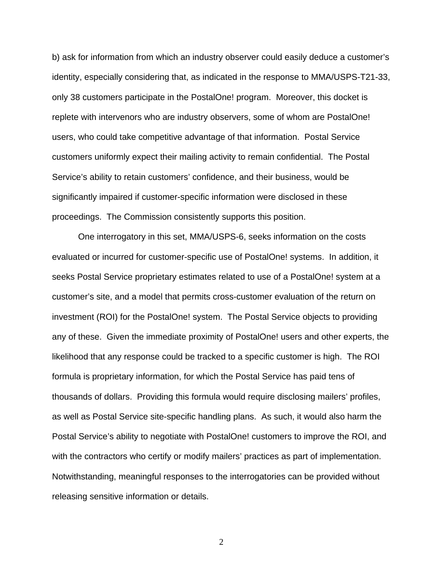b) ask for information from which an industry observer could easily deduce a customer's identity, especially considering that, as indicated in the response to MMA/USPS-T21-33, only 38 customers participate in the PostalOne! program. Moreover, this docket is replete with intervenors who are industry observers, some of whom are PostalOne! users, who could take competitive advantage of that information. Postal Service customers uniformly expect their mailing activity to remain confidential. The Postal Service's ability to retain customers' confidence, and their business, would be significantly impaired if customer-specific information were disclosed in these proceedings. The Commission consistently supports this position.

One interrogatory in this set, MMA/USPS-6, seeks information on the costs evaluated or incurred for customer-specific use of PostalOne! systems. In addition, it seeks Postal Service proprietary estimates related to use of a PostalOne! system at a customer's site, and a model that permits cross-customer evaluation of the return on investment (ROI) for the PostalOne! system. The Postal Service objects to providing any of these. Given the immediate proximity of PostalOne! users and other experts, the likelihood that any response could be tracked to a specific customer is high. The ROI formula is proprietary information, for which the Postal Service has paid tens of thousands of dollars. Providing this formula would require disclosing mailers' profiles, as well as Postal Service site-specific handling plans. As such, it would also harm the Postal Service's ability to negotiate with PostalOne! customers to improve the ROI, and with the contractors who certify or modify mailers' practices as part of implementation. Notwithstanding, meaningful responses to the interrogatories can be provided without releasing sensitive information or details.

2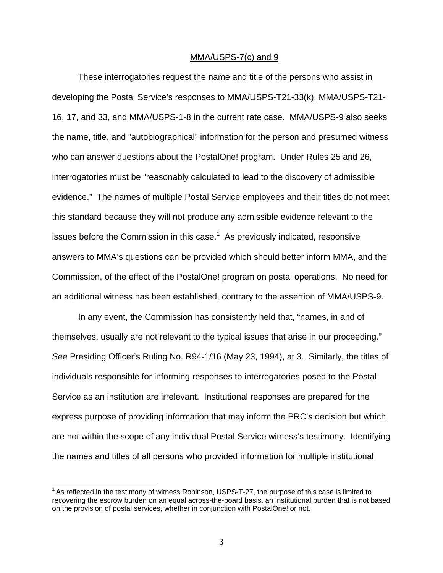## MMA/USPS-7(c) and 9

 These interrogatories request the name and title of the persons who assist in developing the Postal Service's responses to MMA/USPS-T21-33(k), MMA/USPS-T21- 16, 17, and 33, and MMA/USPS-1-8 in the current rate case. MMA/USPS-9 also seeks the name, title, and "autobiographical" information for the person and presumed witness who can answer questions about the PostalOne! program. Under Rules 25 and 26, interrogatories must be "reasonably calculated to lead to the discovery of admissible evidence." The names of multiple Postal Service employees and their titles do not meet this standard because they will not produce any admissible evidence relevant to the issues before the Commission in this case.<sup>1</sup> As previously indicated, responsive answers to MMA's questions can be provided which should better inform MMA, and the Commission, of the effect of the PostalOne! program on postal operations. No need for an additional witness has been established, contrary to the assertion of MMA/USPS-9.

 In any event, the Commission has consistently held that, "names, in and of themselves, usually are not relevant to the typical issues that arise in our proceeding." *See* Presiding Officer's Ruling No. R94-1/16 (May 23, 1994), at 3. Similarly, the titles of individuals responsible for informing responses to interrogatories posed to the Postal Service as an institution are irrelevant. Institutional responses are prepared for the express purpose of providing information that may inform the PRC's decision but which are not within the scope of any individual Postal Service witness's testimony. Identifying the names and titles of all persons who provided information for multiple institutional

1

 $1$  As reflected in the testimony of witness Robinson, USPS-T-27, the purpose of this case is limited to recovering the escrow burden on an equal across-the-board basis, an institutional burden that is not based on the provision of postal services, whether in conjunction with PostalOne! or not.